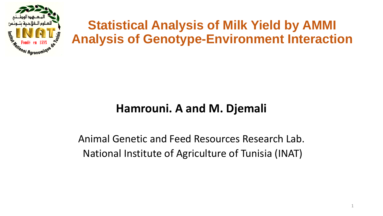

## **Statistical Analysis of Milk Yield by AMMI Analysis of Genotype-Environment Interaction**

### **Hamrouni. A and M. Djemali**

### Animal Genetic and Feed Resources Research Lab. National Institute of Agriculture of Tunisia (INAT)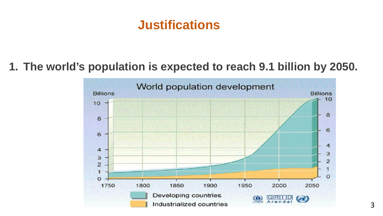## **Justifications**

### **1. The world's population is expected to reach 9.1 billion by 2050.**

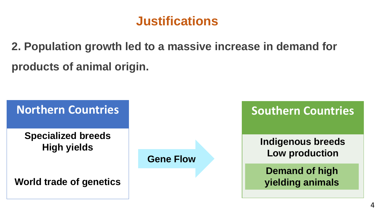## **Justifications**

**2. Population growth led to a massive increase in demand for products of animal origin.**

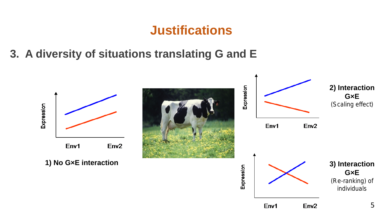## **Justifications**

**3. A diversity of situations translating G and E**

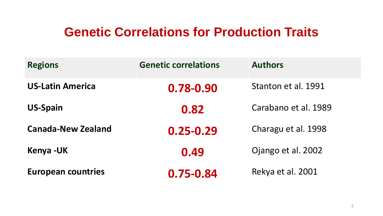## **Genetic Correlations for Production Traits**

| <b>Regions</b>            | <b>Genetic correlations</b> | <b>Authors</b>       |
|---------------------------|-----------------------------|----------------------|
| <b>US-Latin America</b>   | 0.78-0.90                   | Stanton et al. 1991  |
| <b>US-Spain</b>           | 0.82                        | Carabano et al. 1989 |
| <b>Canada-New Zealand</b> | $0.25 - 0.29$               | Charagu et al. 1998  |
| Kenya -UK                 | 0.49                        | Ojango et al. 2002   |
| <b>European countries</b> | 0.75-0.84                   | Rekya et al. 2001    |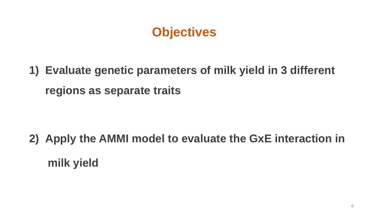## **Objectives**

**1) Evaluate genetic parameters of milk yield in 3 different regions as separate traits** 

**2) Apply the AMMI model to evaluate the GxE interaction in milk yield**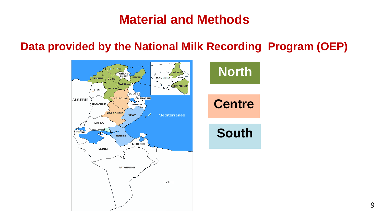## **Material and Methods**

### **Data provided by the National Milk Recording Program (OEP)**

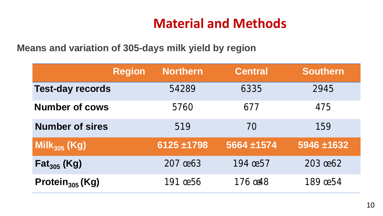## **Material and Methods**

 **Means and variation of 305-days milk yield by region**

|                             | <b>Region</b> | <b>Northern</b> | <b>Central</b> |  | <b>Southern</b> |
|-----------------------------|---------------|-----------------|----------------|--|-----------------|
| <b>Test-day records</b>     |               | 54289           | 6335           |  | 2945            |
| <b>Number of cows</b>       |               | 5760            | 677            |  | 475             |
| <b>Number of sires</b>      |               | 519             | 70             |  | 159             |
| Mil $k_{305}$ (Kg)          |               | $6125 + 1798$   | 5664 ±1574     |  | 5946 ±1632      |
| $\mathsf{Fat}_{305}$ (Kg)   |               | 207 0863        | 194 œ 57       |  | 203 0662        |
| Protein <sub>305</sub> (Kg) |               | 191 <b>ce56</b> | 176 ost8       |  | 189 <b>ce54</b> |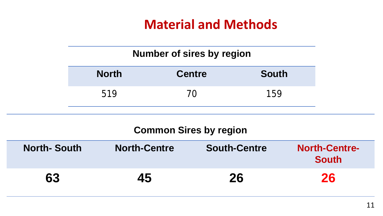## **Material and Methods**

### **Number of sires by region**

| <b>North</b> | <b>Centre</b> | <b>South</b> |
|--------------|---------------|--------------|
| 519          | 70            | 159          |

#### **Common Sires by region**

| <b>North-South</b> | <b>North-Centre</b> | <b>South-Centre</b> | <b>North-Centre-</b><br><b>South</b> |
|--------------------|---------------------|---------------------|--------------------------------------|
| 63                 | 45                  | 26                  | 26                                   |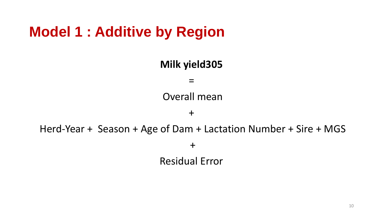# **Model 1 : Additive by Region**

**Milk yield305**  $=$ Overall mean  $+$ Herd-Year + Season + Age of Dam + Lactation Number + Sire + MGS + Residual Error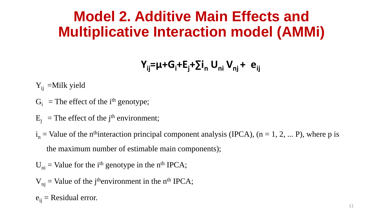## **Model 2. Additive Main Effects and Multiplicative Interaction model (AMMi)**

$$
Y_{ij} = \mu + G_i + E_j + \sum_i n_i U_{ni} V_{nj} + e_{ij}
$$

 $Y_{ii}$  =Milk yield

- $G_i$  = The effect of the i<sup>th</sup> genotype;
- $E_j$  = The effect of the j<sup>th</sup> environment;

 $i_n$  = Value of the n<sup>th</sup>interaction principal component analysis (IPCA), (n = 1, 2, ... P), where p is the maximum number of estimable main components);

 $U_{ni}$  = Value for the i<sup>th</sup> genotype in the n<sup>th</sup> IPCA;

$$
V_{nj}
$$
 = Value of the j<sup>th</sup> environment in the n<sup>th</sup> IPCA;

 $e_{ii}$  = Residual error.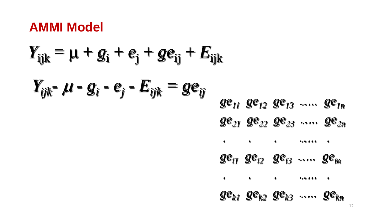## **AMMI Model**

$$
Y_{ijk} = \mu + g_i + e_j + ge_{ij} + E_{ijk}
$$
  
\n
$$
Y_{ijk} - \mu - g_i - e_j - E_{ijk} = ge_{ij}
$$
  
\n
$$
ge_{11} ge_{12} ge_{13} .... e_{1n}
$$
  
\n
$$
ge_{21} ge_{22} ge_{23} .... e_{2n}
$$
  
\n
$$
ge_{i1} ge_{i2} ge_{i3} .... e_{in}
$$
  
\n
$$
ge_{k1} ge_{k2} ge_{k3} .... e_{kn}
$$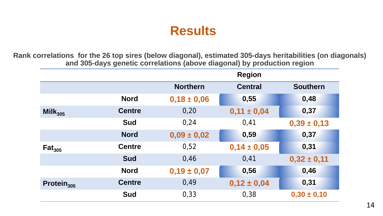## **Results**

**Rank correlations for the 26 top sires (below diagonal), estimated 305-days heritabilities (on diagonals) and 305-days genetic correlations (above diagonal) by production region**

|                        |               | <b>Region</b>   |                 |                 |
|------------------------|---------------|-----------------|-----------------|-----------------|
|                        |               | <b>Northern</b> | <b>Central</b>  | <b>Southern</b> |
|                        | <b>Nord</b>   | $0,18 \pm 0,06$ | 0,55            | 0,48            |
| Mil $k_{305}$          | <b>Centre</b> | 0,20            | $0,11 \pm 0,04$ | 0,37            |
|                        | <b>Sud</b>    | 0.24            | 0,41            | $0,39 \pm 0,13$ |
|                        | <b>Nord</b>   | $0,09 \pm 0,02$ | 0,59            | 0,37            |
| Fat <sub>305</sub>     | <b>Centre</b> | 0,52            | $0,14 \pm 0,05$ | 0,31            |
|                        | <b>Sud</b>    | 0.46            | 0,41            | $0,32 \pm 0,11$ |
|                        | <b>Nord</b>   | $0,19 \pm 0,07$ | 0,56            | 0,46            |
| Protein <sub>305</sub> | <b>Centre</b> | 0,49            | $0,12 \pm 0,04$ | 0,31            |
|                        | <b>Sud</b>    | 0,33            | 0,38            | $0,30 \pm 0,10$ |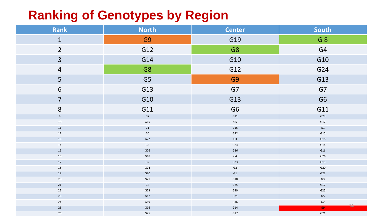## **Ranking of Genotypes by Region**

| Rank             | <b>North</b>   | <b>Center</b>  | South          |
|------------------|----------------|----------------|----------------|
| $\mathbf{1}$     | G <sub>9</sub> | G19            | G 8            |
| $\overline{2}$   | G12            | G8             | G4             |
| $\overline{3}$   | G14            | G10            | G10            |
| $\overline{4}$   | G8             | G12            | G24            |
| 5                | G <sub>5</sub> | G <sub>9</sub> | G13            |
| $\boldsymbol{6}$ | G13            | G7             | G7             |
| $\overline{7}$   | G10            | G13            | G <sub>6</sub> |
| 8                | G11            | G <sub>6</sub> | G11            |
| 9                | ${\sf G7}$     | G11            | G23            |
| $10\,$           | G15            | G5             | G12            |
| $11\,$           | G1             | G15            | G1             |
| 12               | G6             | G22            | G15            |
| 13               | G22            | G3             | G18            |
| 14               | G3             | G24            | G14            |
| 15               | G26            | G26            | G16            |
| 16               | G18            | G4             | G26            |
| $17$             | G2             | G23            | G19            |
| 18               | G24            | G2             | G20            |
| 19<br>$20\,$     | G20<br>G21     | G1<br>G18      | G22<br>G3      |
| 21               | G4             | G25            | G17            |
| $22$             | G23            | G20            | G25            |
| 23               | G17            | G21            | G5             |
| $24$             | G19            | G16            | G2             |
| $25\,$           | G16            | G14            | 14<br>G9       |
| $26\,$           | G25            | G17            | G21            |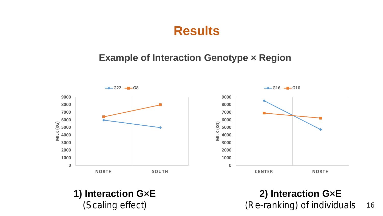## **Results**

#### **Example of Interaction Genotype × Region**



**1) Interaction G×E** *(Scaling effect)*

**2) Interaction G×E** *(Re-ranking) of individuals*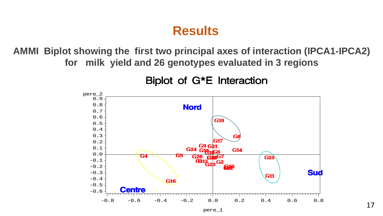## **Results**

**AMMI Biplot showing the first two principal axes of interaction (IPCA1-IPCA2) for milk yield and 26 genotypes evaluated in 3 regions**

Biplot of G<sup>\*</sup>E Interaction

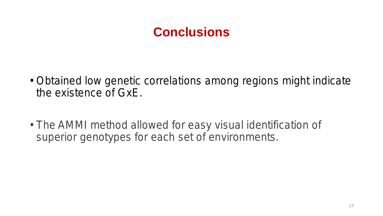## **Conclusions**

- Obtained low genetic correlations among regions might indicate the existence of GxE.
- The AMMI method allowed for easy visual identification of superior genotypes for each set of environments.